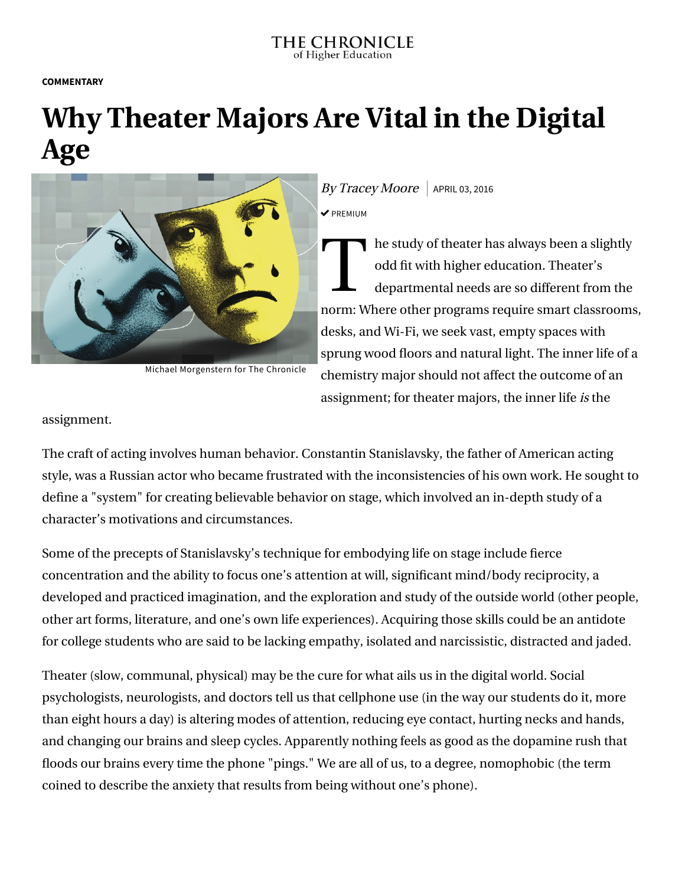## THE CHRONICLE of Higher Education

**COMMENTARY**

## **Why Theater Majors Are Vital in the Digital Age**



Michael Morgenstern for The Chronicle

 $\frac{Bv}{TracevMoore}$  APRIL 03, 2016  $\triangledown$  PREMIUM

T he study of theater has always been a slightly odd fit with higher education. Theater's departmental needs are so different from the norm: Where other programs require smart classrooms, desks, and Wi-Fi, we seek vast, empty spaces with sprung wood floors and natural light. The inner life of a chemistry major should not affect the outcome of an assignment; for theater majors, the inner life is the

assignment.

The craft of acting involves human behavior. Constantin Stanislavsky, the father of American acting style, was a Russian actor who became frustrated with the inconsistencies of his own work. He sought to define a "system" for creating believable behavior on stage, which involved an in-depth study of a character's motivations and circumstances.

Some of the precepts of Stanislavsky's technique for embodying life on stage include fierce concentration and the ability to focus one's attention at will, significant mind/body reciprocity, a developed and practiced imagination, and the exploration and study of the outside world (other people, other art forms, literature, and one's own life experiences). Acquiring those skills could be an antidote for college students who are said to be lacking empathy, isolated and narcissistic, distracted and jaded.

Theater (slow, communal, physical) may be the cure for what ails us in the digital world. Social psychologists, neurologists, and doctors tell us that cellphone use (in the way our students do it, more than eight hours a day) is altering modes of attention, reducing eye contact, hurting necks and hands, and changing our brains and sleep cycles. Apparently nothing feels as good as the dopamine rush that floods our brains every time the phone "pings." We are all of us, to a degree, nomophobic (the term coined to describe the anxiety that results from being without one's phone).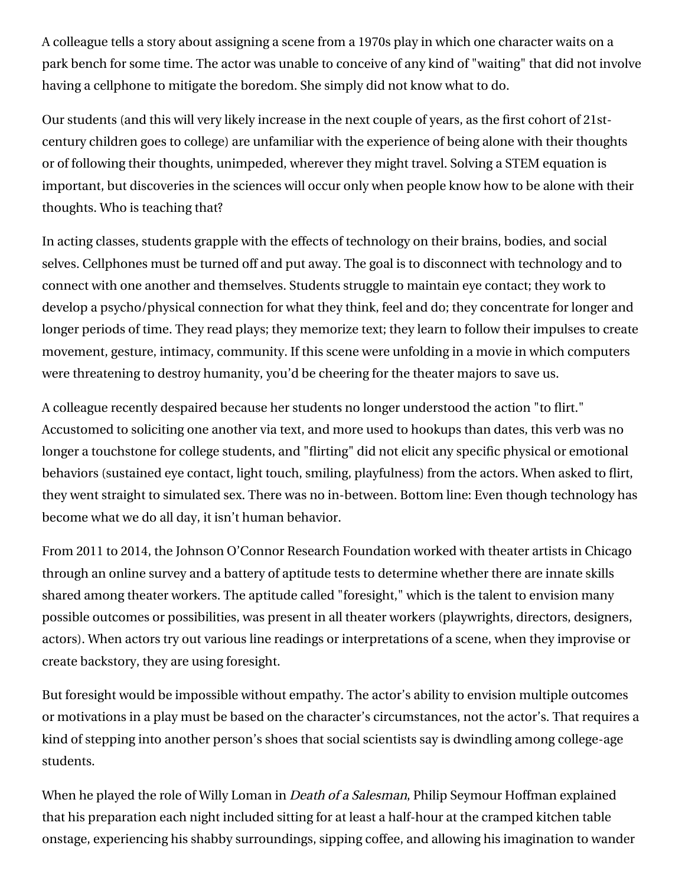A colleague tells a story about assigning a scene from a 1970s play in which one character waits on a park bench for some time. The actor was unable to conceive of any kind of "waiting" that did not involve having a cellphone to mitigate the boredom. She simply did not know what to do.

Our students (and this will very likely increase in the next couple of years, as the first cohort of 21stcentury children goes to college) are unfamiliar with the experience of being alone with their thoughts or of following their thoughts, unimpeded, wherever they might travel. Solving a STEM equation is important, but discoveries in the sciences will occur only when people know how to be alone with their thoughts. Who is teaching that?

In acting classes, students grapple with the effects of technology on their brains, bodies, and social selves. Cellphones must be turned off and put away. The goal is to disconnect with technology and to connect with one another and themselves. Students struggle to maintain eye contact; they work to develop a psycho/physical connection for what they think, feel and do; they concentrate for longer and longer periods of time. They read plays; they memorize text; they learn to follow their impulses to create movement, gesture, intimacy, community. If this scene were unfolding in a movie in which computers were threatening to destroy humanity, you'd be cheering for the theater majors to save us.

A colleague recently despaired because her students no longer understood the action "to flirt." Accustomed to soliciting one another via text, and more used to hookups than dates, this verb was no longer a touchstone for college students, and "flirting" did not elicit any specific physical or emotional behaviors (sustained eye contact, light touch, smiling, playfulness) from the actors. When asked to flirt, they went straight to simulated sex. There was no in-between. Bottom line: Even though technology has become what we do all day, it isn't human behavior.

From 2011 to 2014, the Johnson O'Connor Research Foundation worked with theater artists in Chicago through an online survey and a battery of aptitude tests to determine whether there are innate skills shared among theater workers. The aptitude called "foresight," which is the talent to envision many possible outcomes or possibilities, was present in all theater workers (playwrights, directors, designers, actors). When actors try out various line readings or interpretations of a scene, when they improvise or create backstory, they are using foresight.

But foresight would be impossible without empathy. The actor's ability to envision multiple outcomes or motivations in a play must be based on the character's circumstances, not the actor's. That requires a kind of stepping into another person's shoes that social scientists say is dwindling among college-age students.

When he played the role of Willy Loman in *Death of a Salesman*, Philip Seymour Hoffman explained that his preparation each night included sitting for at least a half-hour at the cramped kitchen table onstage, experiencing his shabby surroundings, sipping coffee, and allowing his imagination to wander